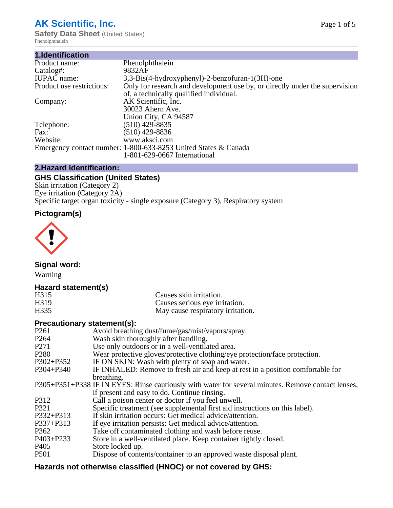# **AK Scientific, Inc.**

**Safety Data Sheet (United States)** Phenolphthalein

| Phenolphthalein                                                             |
|-----------------------------------------------------------------------------|
| 9832AF                                                                      |
| 3,3-Bis(4-hydroxyphenyl)-2-benzofuran-1(3H)-one                             |
| Only for research and development use by, or directly under the supervision |
| of, a technically qualified individual.                                     |
| AK Scientific, Inc.                                                         |
| 30023 Ahern Ave.                                                            |
| Union City, CA 94587                                                        |
| $(510)$ 429-8835                                                            |
| $(510)$ 429-8836                                                            |
| www.aksci.com                                                               |
| Emergency contact number: 1-800-633-8253 United States & Canada             |
| 1-801-629-0667 International                                                |
|                                                                             |

# **2.Hazard Identification:**

# **GHS Classification (United States)**

Skin irritation (Category 2) Eye irritation (Category 2A) Specific target organ toxicity - single exposure (Category 3), Respiratory system

# **Pictogram(s)**



**Signal word:**

Warning

## **Hazard statement(s)**

| H315 | Causes skin irritation.           |
|------|-----------------------------------|
| H319 | Causes serious eye irritation.    |
| H335 | May cause respiratory irritation. |

# **Precautionary statement(s):**

| P <sub>261</sub> | Avoid breathing dust/fume/gas/mist/vapors/spray.                                                   |
|------------------|----------------------------------------------------------------------------------------------------|
| P <sub>264</sub> | Wash skin thoroughly after handling.                                                               |
| P <sub>271</sub> | Use only outdoors or in a well-ventilated area.                                                    |
| P <sub>280</sub> | Wear protective gloves/protective clothing/eye protection/face protection.                         |
| P302+P352        | IF ON SKIN: Wash with plenty of soap and water.                                                    |
| $P304 + P340$    | IF INHALED: Remove to fresh air and keep at rest in a position comfortable for                     |
|                  | breathing.                                                                                         |
|                  | P305+P351+P338 IF IN EYES: Rinse cautiously with water for several minutes. Remove contact lenses, |
|                  | if present and easy to do. Continue rinsing.                                                       |
| P312             | Call a poison center or doctor if you feel unwell.                                                 |
| P321             | Specific treatment (see supplemental first aid instructions on this label).                        |
| P332+P313        | If skin irritation occurs: Get medical advice/attention.                                           |
| P337+P313        | If eye irritation persists: Get medical advice/attention.                                          |
| P362             | Take off contaminated clothing and wash before reuse.                                              |
| P403+P233        | Store in a well-ventilated place. Keep container tightly closed.                                   |
| P <sub>405</sub> | Store locked up.                                                                                   |
| P <sub>501</sub> | Dispose of contents/container to an approved waste disposal plant.                                 |
|                  |                                                                                                    |

# **Hazards not otherwise classified (HNOC) or not covered by GHS:**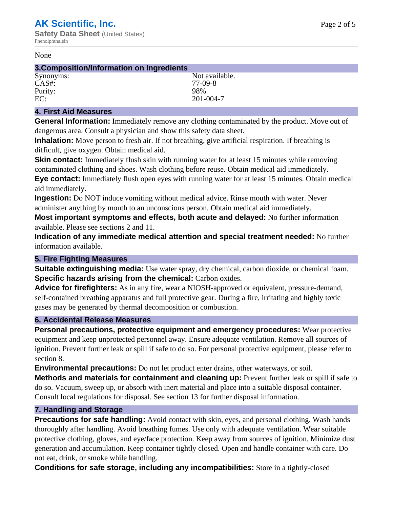#### None

## **3.Composition/Information on Ingredients**

Synonyms: Not available. CAS#: 77-09-8<br>Purity: 98% Purity: EC: 201-004-7

## **4. First Aid Measures**

**General Information:** Immediately remove any clothing contaminated by the product. Move out of dangerous area. Consult a physician and show this safety data sheet.

**Inhalation:** Move person to fresh air. If not breathing, give artificial respiration. If breathing is difficult, give oxygen. Obtain medical aid.

**Skin contact:** Immediately flush skin with running water for at least 15 minutes while removing contaminated clothing and shoes. Wash clothing before reuse. Obtain medical aid immediately. **Eye contact:** Immediately flush open eyes with running water for at least 15 minutes. Obtain medical aid immediately.

**Ingestion:** Do NOT induce vomiting without medical advice. Rinse mouth with water. Never administer anything by mouth to an unconscious person. Obtain medical aid immediately.

**Most important symptoms and effects, both acute and delayed:** No further information available. Please see sections 2 and 11.

**Indication of any immediate medical attention and special treatment needed:** No further information available.

## **5. Fire Fighting Measures**

**Suitable extinguishing media:** Use water spray, dry chemical, carbon dioxide, or chemical foam. **Specific hazards arising from the chemical:** Carbon oxides.

**Advice for firefighters:** As in any fire, wear a NIOSH-approved or equivalent, pressure-demand, self-contained breathing apparatus and full protective gear. During a fire, irritating and highly toxic gases may be generated by thermal decomposition or combustion.

## **6. Accidental Release Measures**

**Personal precautions, protective equipment and emergency procedures:** Wear protective equipment and keep unprotected personnel away. Ensure adequate ventilation. Remove all sources of ignition. Prevent further leak or spill if safe to do so. For personal protective equipment, please refer to section 8.

**Environmental precautions:** Do not let product enter drains, other waterways, or soil.

**Methods and materials for containment and cleaning up:** Prevent further leak or spill if safe to do so. Vacuum, sweep up, or absorb with inert material and place into a suitable disposal container. Consult local regulations for disposal. See section 13 for further disposal information.

## **7. Handling and Storage**

**Precautions for safe handling:** Avoid contact with skin, eyes, and personal clothing. Wash hands thoroughly after handling. Avoid breathing fumes. Use only with adequate ventilation. Wear suitable protective clothing, gloves, and eye/face protection. Keep away from sources of ignition. Minimize dust generation and accumulation. Keep container tightly closed. Open and handle container with care. Do not eat, drink, or smoke while handling.

**Conditions for safe storage, including any incompatibilities:** Store in a tightly-closed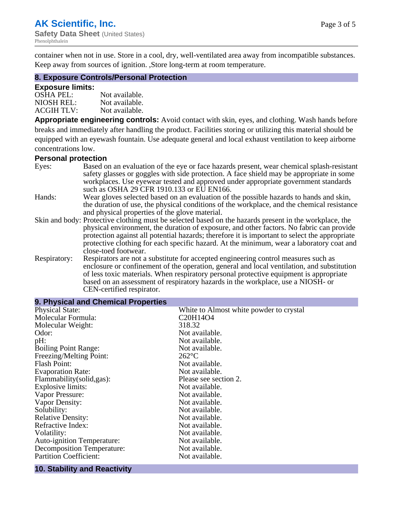container when not in use. Store in a cool, dry, well-ventilated area away from incompatible substances. Keep away from sources of ignition. ,Store long-term at room temperature.

#### **8. Exposure Controls/Personal Protection**

#### **Exposure limits:**

| <b>OSHA PEL:</b>  | Not available. |
|-------------------|----------------|
| NIOSH REL:        | Not available. |
| <b>ACGIH TLV:</b> | Not available. |

**Appropriate engineering controls:** Avoid contact with skin, eyes, and clothing. Wash hands before breaks and immediately after handling the product. Facilities storing or utilizing this material should be equipped with an eyewash fountain. Use adequate general and local exhaust ventilation to keep airborne concentrations low.

#### **Personal protection**

| Eyes:        | Based on an evaluation of the eye or face hazards present, wear chemical splash-resistant<br>safety glasses or goggles with side protection. A face shield may be appropriate in some<br>workplaces. Use eyewear tested and approved under appropriate government standards                                                                                                                                             |
|--------------|-------------------------------------------------------------------------------------------------------------------------------------------------------------------------------------------------------------------------------------------------------------------------------------------------------------------------------------------------------------------------------------------------------------------------|
|              | such as OSHA 29 CFR 1910.133 or EU EN166.                                                                                                                                                                                                                                                                                                                                                                               |
| Hands:       | Wear gloves selected based on an evaluation of the possible hazards to hands and skin,<br>the duration of use, the physical conditions of the workplace, and the chemical resistance<br>and physical properties of the glove material.                                                                                                                                                                                  |
|              | Skin and body: Protective clothing must be selected based on the hazards present in the workplace, the<br>physical environment, the duration of exposure, and other factors. No fabric can provide<br>protection against all potential hazards; therefore it is important to select the appropriate<br>protective clothing for each specific hazard. At the minimum, wear a laboratory coat and<br>close-toed footwear. |
| Respiratory: | Respirators are not a substitute for accepted engineering control measures such as<br>enclosure or confinement of the operation, general and local ventilation, and substitution<br>of less toxic materials. When respiratory personal protective equipment is appropriate<br>based on an assessment of respiratory hazards in the workplace, use a NIOSH- or<br>CEN-certified respirator.                              |

| 9. Physical and Chemical Properties          |                                         |  |  |
|----------------------------------------------|-----------------------------------------|--|--|
| <b>Physical State:</b>                       | White to Almost white powder to crystal |  |  |
| Molecular Formula:                           | C20H14O4                                |  |  |
| Molecular Weight:                            | 318.32                                  |  |  |
| Odor:                                        | Not available.                          |  |  |
| pH:                                          | Not available.                          |  |  |
| <b>Boiling Point Range:</b>                  | Not available.                          |  |  |
| Freezing/Melting Point:                      | $262$ °C                                |  |  |
| <b>Flash Point:</b>                          | Not available.                          |  |  |
| <b>Evaporation Rate:</b>                     | Not available.                          |  |  |
| Flammability(solid,gas):                     | Please see section 2.                   |  |  |
| Explosive limits:                            | Not available.                          |  |  |
| Vapor Pressure:                              | Not available.                          |  |  |
| Vapor Density:                               | Not available.                          |  |  |
| Solubility:                                  | Not available.                          |  |  |
| <b>Relative Density:</b>                     | Not available.                          |  |  |
| Refractive Index:                            | Not available.                          |  |  |
| Volatility:                                  | Not available.                          |  |  |
| Auto-ignition Temperature:                   | Not available.                          |  |  |
| Decomposition Temperature:                   | Not available.                          |  |  |
| <b>Partition Coefficient:</b>                | Not available.                          |  |  |
| the control of the control of the control of |                                         |  |  |

#### **10. Stability and Reactivity**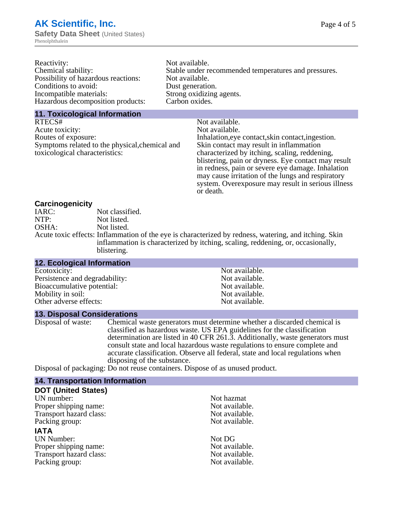| Reactivity:                         | Not available.                                       |
|-------------------------------------|------------------------------------------------------|
| Chemical stability:                 | Stable under recommended temperatures and pressures. |
| Possibility of hazardous reactions: | Not available.                                       |
| Conditions to avoid:                | Dust generation.                                     |
| Incompatible materials:             | Strong oxidizing agents.                             |
| Hazardous decomposition products:   | Carbon oxides.                                       |
|                                     |                                                      |

#### **11. Toxicological Information**

| Not available.                                      |
|-----------------------------------------------------|
| Not available.                                      |
| Inhalation, eye contact, skin contact, ingestion.   |
| Skin contact may result in inflammation             |
| characterized by itching, scaling, reddening,       |
| blistering, pain or dryness. Eye contact may result |
| in redness, pain or severe eye damage. Inhalation   |
| may cause irritation of the lungs and respiratory   |
| system. Overexposure may result in serious illness  |
|                                                     |

or death.

#### **Carcinogenicity**

| IARC: | Not classified.                                                                                       |
|-------|-------------------------------------------------------------------------------------------------------|
| NTP:  | Not listed.                                                                                           |
| OSHA: | Not listed.                                                                                           |
|       | Acute toxic effects: Inflammation of the eye is characterized by redness, watering, and itching. Skin |
|       | inflammation is characterized by itching, scaling, reddening, or, occasionally,                       |
|       | blistering.                                                                                           |

| <b>12. Ecological Information</b> |                |
|-----------------------------------|----------------|
| Ecotoxicity:                      | Not available. |
| Persistence and degradability:    | Not available. |
| Bioaccumulative potential:        | Not available. |
| Mobility in soil:                 | Not available. |
| Other adverse effects:            | Not available. |

## **13. Disposal Considerations**

Disposal of waste: Chemical waste generators must determine whether a discarded chemical is classified as hazardous waste. US EPA guidelines for the classification determination are listed in 40 CFR 261.3. Additionally, waste generators must consult state and local hazardous waste regulations to ensure complete and accurate classification. Observe all federal, state and local regulations when disposing of the substance.

Disposal of packaging: Do not reuse containers. Dispose of as unused product.

| <b>14. Transportation Information</b> |                |
|---------------------------------------|----------------|
| <b>DOT (United States)</b>            |                |
| UN number:                            | Not hazmat     |
| Proper shipping name:                 | Not available. |
| Transport hazard class:               | Not available. |
| Packing group:                        | Not available. |
| <b>IATA</b>                           |                |
| <b>UN Number:</b>                     | Not DG         |
| Proper shipping name:                 | Not available. |
| Transport hazard class:               | Not available. |
| Packing group:                        | Not available. |